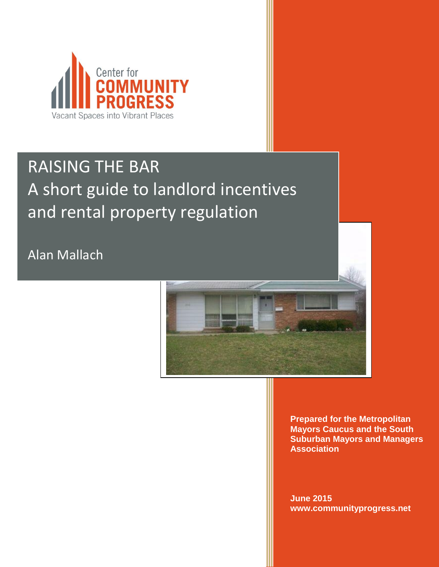

# RAISING THE BAR A short guide to landlord incentives and rental property regulation

Alan Mallach



**Prepared for the Metropolitan Mayors Caucus and the South Suburban Mayors and Managers Association** 

**June 2015 www.communityprogress.net**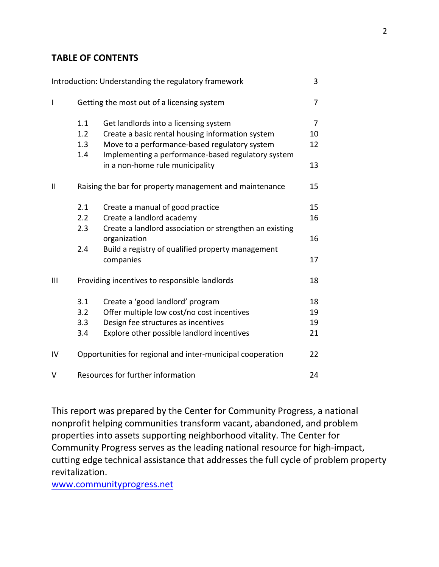#### **TABLE OF CONTENTS**

|              |                                                            | Introduction: Understanding the regulatory framework                    | 3              |
|--------------|------------------------------------------------------------|-------------------------------------------------------------------------|----------------|
| $\mathsf{l}$ | Getting the most out of a licensing system                 |                                                                         | 7              |
|              | 1.1                                                        | Get landlords into a licensing system                                   | $\overline{7}$ |
|              | 1.2                                                        | Create a basic rental housing information system                        | 10             |
|              | 1.3                                                        | Move to a performance-based regulatory system                           | 12             |
|              | 1.4                                                        | Implementing a performance-based regulatory system                      |                |
|              |                                                            | in a non-home rule municipality                                         | 13             |
| $\mathbf{I}$ | Raising the bar for property management and maintenance    |                                                                         | 15             |
|              | 2.1                                                        | Create a manual of good practice                                        | 15             |
|              | 2.2                                                        | Create a landlord academy                                               | 16             |
|              | 2.3                                                        | Create a landlord association or strengthen an existing<br>organization | 16             |
|              | 2.4                                                        | Build a registry of qualified property management                       |                |
|              |                                                            | companies                                                               | 17             |
| III          |                                                            | Providing incentives to responsible landlords                           | 18             |
|              | 3.1                                                        | Create a 'good landlord' program                                        | 18             |
|              | 3.2                                                        | Offer multiple low cost/no cost incentives                              | 19             |
|              | 3.3                                                        | Design fee structures as incentives                                     | 19             |
|              | 3.4                                                        | Explore other possible landlord incentives                              | 21             |
| IV           | Opportunities for regional and inter-municipal cooperation |                                                                         | 22             |
| V            | Resources for further information<br>24                    |                                                                         |                |

This report was prepared by the Center for Community Progress, a national nonprofit helping communities transform vacant, abandoned, and problem properties into assets supporting neighborhood vitality. The Center for Community Progress serves as the leading national resource for high-impact, cutting edge technical assistance that addresses the full cycle of problem property revitalization.

[www.communityprogress.net](http://www.communityprogress.net/)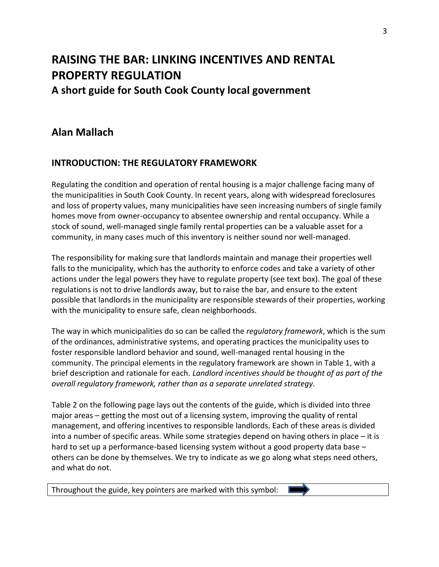## **RAISING THE BAR: LINKING INCENTIVES AND RENTAL PROPERTY REGULATION A short guide for South Cook County local government**

## **Alan Mallach**

## **INTRODUCTION: THE REGULATORY FRAMEWORK**

Regulating the condition and operation of rental housing is a major challenge facing many of the municipalities in South Cook County. In recent years, along with widespread foreclosures and loss of property values, many municipalities have seen increasing numbers of single family homes move from owner-occupancy to absentee ownership and rental occupancy. While a stock of sound, well-managed single family rental properties can be a valuable asset for a community, in many cases much of this inventory is neither sound nor well-managed.

The responsibility for making sure that landlords maintain and manage their properties well falls to the municipality, which has the authority to enforce codes and take a variety of other actions under the legal powers they have to regulate property (see text box). The goal of these regulations is not to drive landlords away, but to raise the bar, and ensure to the extent possible that landlords in the municipality are responsible stewards of their properties, working with the municipality to ensure safe, clean neighborhoods.

The way in which municipalities do so can be called the *regulatory framework*, which is the sum of the ordinances, administrative systems, and operating practices the municipality uses to foster responsible landlord behavior and sound, well-managed rental housing in the community. The principal elements in the regulatory framework are shown in Table 1, with a brief description and rationale for each. *Landlord incentives should be thought of as part of the overall regulatory framework, rather than as a separate unrelated strategy.*

Table 2 on the following page lays out the contents of the guide, which is divided into three major areas – getting the most out of a licensing system, improving the quality of rental management, and offering incentives to responsible landlords. Each of these areas is divided into a number of specific areas. While some strategies depend on having others in place – it is hard to set up a performance-based licensing system without a good property data base – others can be done by themselves. We try to indicate as we go along what steps need others, and what do not.

Throughout the guide, key pointers are marked with this symbol: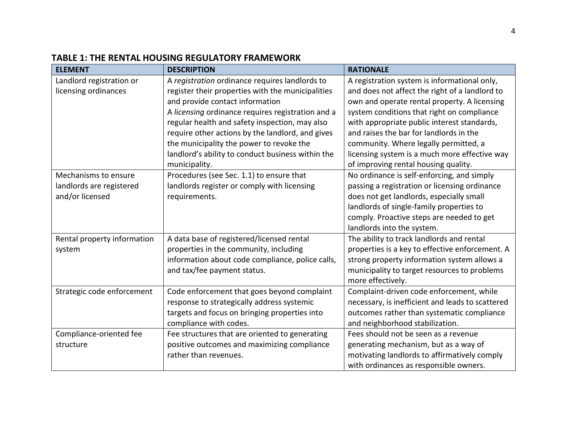| <b>ELEMENT</b>              | <b>DESCRIPTION</b>                                | <b>RATIONALE</b>                                 |
|-----------------------------|---------------------------------------------------|--------------------------------------------------|
| Landlord registration or    | A registration ordinance requires landlords to    | A registration system is informational only,     |
| licensing ordinances        | register their properties with the municipalities | and does not affect the right of a landlord to   |
|                             | and provide contact information                   | own and operate rental property. A licensing     |
|                             | A licensing ordinance requires registration and a | system conditions that right on compliance       |
|                             | regular health and safety inspection, may also    | with appropriate public interest standards,      |
|                             | require other actions by the landlord, and gives  | and raises the bar for landlords in the          |
|                             | the municipality the power to revoke the          | community. Where legally permitted, a            |
|                             | landlord's ability to conduct business within the | licensing system is a much more effective way    |
|                             | municipality.                                     | of improving rental housing quality.             |
| Mechanisms to ensure        | Procedures (see Sec. 1.1) to ensure that          | No ordinance is self-enforcing, and simply       |
| landlords are registered    | landlords register or comply with licensing       | passing a registration or licensing ordinance    |
| and/or licensed             | requirements.                                     | does not get landlords, especially small         |
|                             |                                                   | landlords of single-family properties to         |
|                             |                                                   | comply. Proactive steps are needed to get        |
|                             |                                                   | landlords into the system.                       |
| Rental property information | A data base of registered/licensed rental         | The ability to track landlords and rental        |
| system                      | properties in the community, including            | properties is a key to effective enforcement. A  |
|                             | information about code compliance, police calls,  | strong property information system allows a      |
|                             | and tax/fee payment status.                       | municipality to target resources to problems     |
|                             |                                                   | more effectively.                                |
| Strategic code enforcement  | Code enforcement that goes beyond complaint       | Complaint-driven code enforcement, while         |
|                             | response to strategically address systemic        | necessary, is inefficient and leads to scattered |
|                             | targets and focus on bringing properties into     | outcomes rather than systematic compliance       |
|                             | compliance with codes.                            | and neighborhood stabilization.                  |
| Compliance-oriented fee     | Fee structures that are oriented to generating    | Fees should not be seen as a revenue             |
| structure                   | positive outcomes and maximizing compliance       | generating mechanism, but as a way of            |
|                             | rather than revenues.                             | motivating landlords to affirmatively comply     |
|                             |                                                   | with ordinances as responsible owners.           |

## **TABLE 1: THE RENTAL HOUSING REGULATORY FRAMEWORK**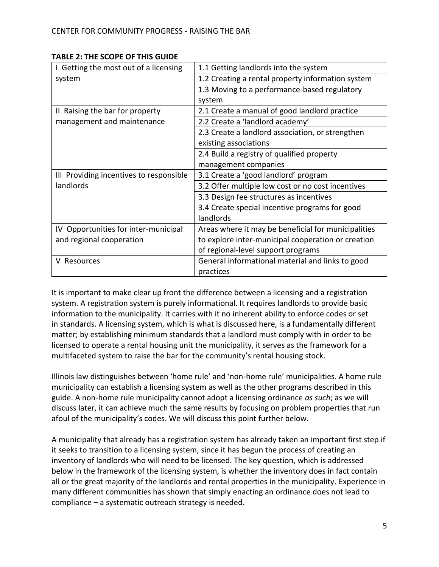| I Getting the most out of a licensing   | 1.1 Getting landlords into the system               |  |  |
|-----------------------------------------|-----------------------------------------------------|--|--|
| system                                  | 1.2 Creating a rental property information system   |  |  |
|                                         | 1.3 Moving to a performance-based regulatory        |  |  |
|                                         | system                                              |  |  |
| II Raising the bar for property         | 2.1 Create a manual of good landlord practice       |  |  |
| management and maintenance              | 2.2 Create a 'landlord academy'                     |  |  |
|                                         | 2.3 Create a landlord association, or strengthen    |  |  |
|                                         | existing associations                               |  |  |
|                                         | 2.4 Build a registry of qualified property          |  |  |
|                                         | management companies                                |  |  |
| III Providing incentives to responsible | 3.1 Create a 'good landlord' program                |  |  |
| landlords                               | 3.2 Offer multiple low cost or no cost incentives   |  |  |
|                                         | 3.3 Design fee structures as incentives             |  |  |
|                                         | 3.4 Create special incentive programs for good      |  |  |
|                                         | landlords                                           |  |  |
| IV Opportunities for inter-municipal    | Areas where it may be beneficial for municipalities |  |  |
| and regional cooperation                | to explore inter-municipal cooperation or creation  |  |  |
|                                         | of regional-level support programs                  |  |  |
| Resources                               | General informational material and links to good    |  |  |
|                                         | practices                                           |  |  |

#### **TABLE 2: THE SCOPE OF THIS GUIDE**

It is important to make clear up front the difference between a licensing and a registration system. A registration system is purely informational. It requires landlords to provide basic information to the municipality. It carries with it no inherent ability to enforce codes or set in standards. A licensing system, which is what is discussed here, is a fundamentally different matter; by establishing minimum standards that a landlord must comply with in order to be licensed to operate a rental housing unit the municipality, it serves as the framework for a multifaceted system to raise the bar for the community's rental housing stock.

Illinois law distinguishes between 'home rule' and 'non-home rule' municipalities. A home rule municipality can establish a licensing system as well as the other programs described in this guide. A non-home rule municipality cannot adopt a licensing ordinance *as such*; as we will discuss later, it can achieve much the same results by focusing on problem properties that run afoul of the municipality's codes. We will discuss this point further below.

A municipality that already has a registration system has already taken an important first step if it seeks to transition to a licensing system, since it has begun the process of creating an inventory of landlords who will need to be licensed. The key question, which is addressed below in the framework of the licensing system, is whether the inventory does in fact contain all or the great majority of the landlords and rental properties in the municipality. Experience in many different communities has shown that simply enacting an ordinance does not lead to compliance – a systematic outreach strategy is needed.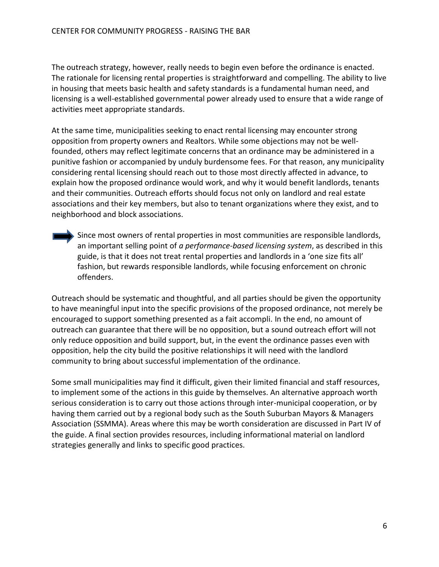The outreach strategy, however, really needs to begin even before the ordinance is enacted. The rationale for licensing rental properties is straightforward and compelling. The ability to live in housing that meets basic health and safety standards is a fundamental human need, and licensing is a well-established governmental power already used to ensure that a wide range of activities meet appropriate standards.

At the same time, municipalities seeking to enact rental licensing may encounter strong opposition from property owners and Realtors. While some objections may not be wellfounded, others may reflect legitimate concerns that an ordinance may be administered in a punitive fashion or accompanied by unduly burdensome fees. For that reason, any municipality considering rental licensing should reach out to those most directly affected in advance, to explain how the proposed ordinance would work, and why it would benefit landlords, tenants and their communities. Outreach efforts should focus not only on landlord and real estate associations and their key members, but also to tenant organizations where they exist, and to neighborhood and block associations.

 $\overline{\phantom{a}}$  Since most owners of rental properties in most communities are responsible landlords, an important selling point of *a performance-based licensing system*, as described in this guide, is that it does not treat rental properties and landlords in a 'one size fits all' fashion, but rewards responsible landlords, while focusing enforcement on chronic offenders.

Outreach should be systematic and thoughtful, and all parties should be given the opportunity to have meaningful input into the specific provisions of the proposed ordinance, not merely be encouraged to support something presented as a fait accompli. In the end, no amount of outreach can guarantee that there will be no opposition, but a sound outreach effort will not only reduce opposition and build support, but, in the event the ordinance passes even with opposition, help the city build the positive relationships it will need with the landlord community to bring about successful implementation of the ordinance.

Some small municipalities may find it difficult, given their limited financial and staff resources, to implement some of the actions in this guide by themselves. An alternative approach worth serious consideration is to carry out those actions through inter-municipal cooperation, or by having them carried out by a regional body such as the South Suburban Mayors & Managers Association (SSMMA). Areas where this may be worth consideration are discussed in Part IV of the guide. A final section provides resources, including informational material on landlord strategies generally and links to specific good practices.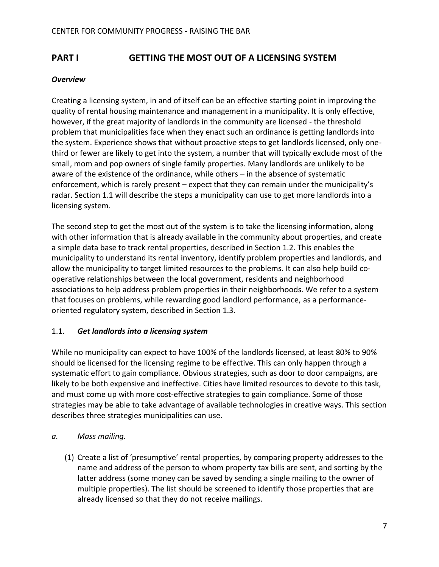## **PART I GETTING THE MOST OUT OF A LICENSING SYSTEM**

#### *Overview*

Creating a licensing system, in and of itself can be an effective starting point in improving the quality of rental housing maintenance and management in a municipality. It is only effective, however, if the great majority of landlords in the community are licensed - the threshold problem that municipalities face when they enact such an ordinance is getting landlords into the system. Experience shows that without proactive steps to get landlords licensed, only onethird or fewer are likely to get into the system, a number that will typically exclude most of the small, mom and pop owners of single family properties. Many landlords are unlikely to be aware of the existence of the ordinance, while others – in the absence of systematic enforcement, which is rarely present – expect that they can remain under the municipality's radar. Section 1.1 will describe the steps a municipality can use to get more landlords into a licensing system.

The second step to get the most out of the system is to take the licensing information, along with other information that is already available in the community about properties, and create a simple data base to track rental properties, described in Section 1.2. This enables the municipality to understand its rental inventory, identify problem properties and landlords, and allow the municipality to target limited resources to the problems. It can also help build cooperative relationships between the local government, residents and neighborhood associations to help address problem properties in their neighborhoods. We refer to a system that focuses on problems, while rewarding good landlord performance, as a performanceoriented regulatory system, described in Section 1.3.

#### 1.1. *Get landlords into a licensing system*

While no municipality can expect to have 100% of the landlords licensed, at least 80% to 90% should be licensed for the licensing regime to be effective. This can only happen through a systematic effort to gain compliance. Obvious strategies, such as door to door campaigns, are likely to be both expensive and ineffective. Cities have limited resources to devote to this task, and must come up with more cost-effective strategies to gain compliance. Some of those strategies may be able to take advantage of available technologies in creative ways. This section describes three strategies municipalities can use.

#### *a. Mass mailing.*

(1) Create a list of 'presumptive' rental properties, by comparing property addresses to the name and address of the person to whom property tax bills are sent, and sorting by the latter address (some money can be saved by sending a single mailing to the owner of multiple properties). The list should be screened to identify those properties that are already licensed so that they do not receive mailings.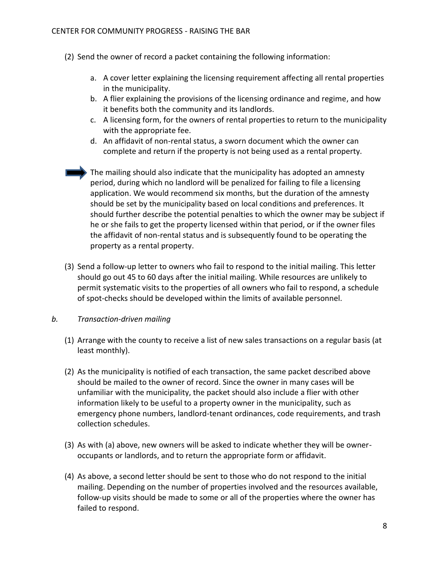- (2) Send the owner of record a packet containing the following information:
	- a. A cover letter explaining the licensing requirement affecting all rental properties in the municipality.
	- b. A flier explaining the provisions of the licensing ordinance and regime, and how it benefits both the community and its landlords.
	- c. A licensing form, for the owners of rental properties to return to the municipality with the appropriate fee.
	- d. An affidavit of non-rental status, a sworn document which the owner can complete and return if the property is not being used as a rental property.
	- The mailing should also indicate that the municipality has adopted an amnesty period, during which no landlord will be penalized for failing to file a licensing application. We would recommend six months, but the duration of the amnesty should be set by the municipality based on local conditions and preferences. It should further describe the potential penalties to which the owner may be subject if he or she fails to get the property licensed within that period, or if the owner files the affidavit of non-rental status and is subsequently found to be operating the property as a rental property.
- (3) Send a follow-up letter to owners who fail to respond to the initial mailing. This letter should go out 45 to 60 days after the initial mailing. While resources are unlikely to permit systematic visits to the properties of all owners who fail to respond, a schedule of spot-checks should be developed within the limits of available personnel.

#### *b. Transaction-driven mailing*

- (1) Arrange with the county to receive a list of new sales transactions on a regular basis (at least monthly).
- (2) As the municipality is notified of each transaction, the same packet described above should be mailed to the owner of record. Since the owner in many cases will be unfamiliar with the municipality, the packet should also include a flier with other information likely to be useful to a property owner in the municipality, such as emergency phone numbers, landlord-tenant ordinances, code requirements, and trash collection schedules.
- (3) As with (a) above, new owners will be asked to indicate whether they will be owneroccupants or landlords, and to return the appropriate form or affidavit.
- (4) As above, a second letter should be sent to those who do not respond to the initial mailing. Depending on the number of properties involved and the resources available, follow-up visits should be made to some or all of the properties where the owner has failed to respond.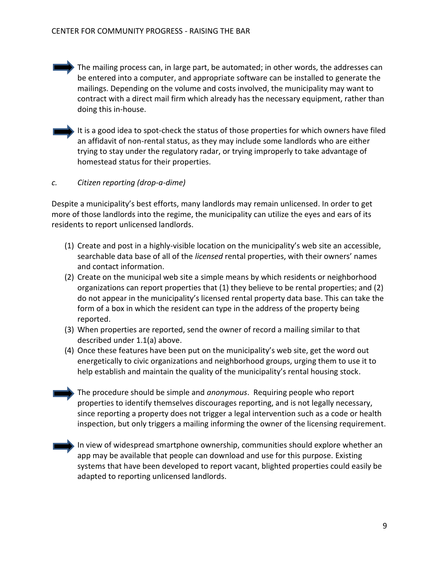- The mailing process can, in large part, be automated; in other words, the addresses can be entered into a computer, and appropriate software can be installed to generate the mailings. Depending on the volume and costs involved, the municipality may want to contract with a direct mail firm which already has the necessary equipment, rather than doing this in-house.
- It is a good idea to spot-check the status of those properties for which owners have filed an affidavit of non-rental status, as they may include some landlords who are either trying to stay under the regulatory radar, or trying improperly to take advantage of homestead status for their properties.

#### *c. Citizen reporting (drop-a-dime)*

Despite a municipality's best efforts, many landlords may remain unlicensed. In order to get more of those landlords into the regime, the municipality can utilize the eyes and ears of its residents to report unlicensed landlords.

- (1) Create and post in a highly-visible location on the municipality's web site an accessible, searchable data base of all of the *licensed* rental properties, with their owners' names and contact information.
- (2) Create on the municipal web site a simple means by which residents or neighborhood organizations can report properties that (1) they believe to be rental properties; and (2) do not appear in the municipality's licensed rental property data base. This can take the form of a box in which the resident can type in the address of the property being reported.
- (3) When properties are reported, send the owner of record a mailing similar to that described under 1.1(a) above.
- (4) Once these features have been put on the municipality's web site, get the word out energetically to civic organizations and neighborhood groups, urging them to use it to help establish and maintain the quality of the municipality's rental housing stock.
- The procedure should be simple and *anonymous*. Requiring people who report properties to identify themselves discourages reporting, and is not legally necessary, since reporting a property does not trigger a legal intervention such as a code or health inspection, but only triggers a mailing informing the owner of the licensing requirement.
- In view of widespread smartphone ownership, communities should explore whether an app may be available that people can download and use for this purpose. Existing systems that have been developed to report vacant, blighted properties could easily be adapted to reporting unlicensed landlords.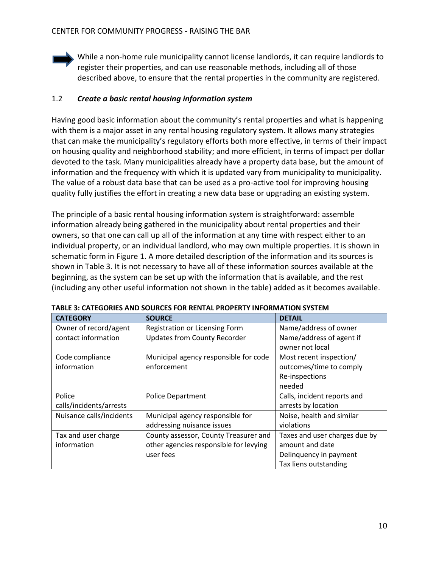While a non-home rule municipality cannot license landlords, it can require landlords to register their properties, and can use reasonable methods, including all of those described above, to ensure that the rental properties in the community are registered.

#### 1.2 *Create a basic rental housing information system*

Having good basic information about the community's rental properties and what is happening with them is a major asset in any rental housing regulatory system. It allows many strategies that can make the municipality's regulatory efforts both more effective, in terms of their impact on housing quality and neighborhood stability; and more efficient, in terms of impact per dollar devoted to the task. Many municipalities already have a property data base, but the amount of information and the frequency with which it is updated vary from municipality to municipality. The value of a robust data base that can be used as a pro-active tool for improving housing quality fully justifies the effort in creating a new data base or upgrading an existing system.

The principle of a basic rental housing information system is straightforward: assemble information already being gathered in the municipality about rental properties and their owners, so that one can call up all of the information at any time with respect either to an individual property, or an individual landlord, who may own multiple properties. It is shown in schematic form in Figure 1. A more detailed description of the information and its sources is shown in Table 3. It is not necessary to have all of these information sources available at the beginning, as the system can be set up with the information that is available, and the rest (including any other useful information not shown in the table) added as it becomes available.

| <b>CATEGORY</b>          | <b>SOURCE</b>                          | <b>DETAIL</b>                 |
|--------------------------|----------------------------------------|-------------------------------|
| Owner of record/agent    | Registration or Licensing Form         | Name/address of owner         |
| contact information      | <b>Updates from County Recorder</b>    | Name/address of agent if      |
|                          |                                        | owner not local               |
| Code compliance          | Municipal agency responsible for code  | Most recent inspection/       |
| information              | enforcement                            | outcomes/time to comply       |
|                          |                                        | Re-inspections                |
|                          |                                        | needed                        |
| Police                   | <b>Police Department</b>               | Calls, incident reports and   |
| calls/incidents/arrests  |                                        | arrests by location           |
| Nuisance calls/incidents | Municipal agency responsible for       | Noise, health and similar     |
|                          | addressing nuisance issues             | violations                    |
| Tax and user charge      | County assessor, County Treasurer and  | Taxes and user charges due by |
| information              | other agencies responsible for levying | amount and date               |
|                          | user fees                              | Delinquency in payment        |
|                          |                                        | Tax liens outstanding         |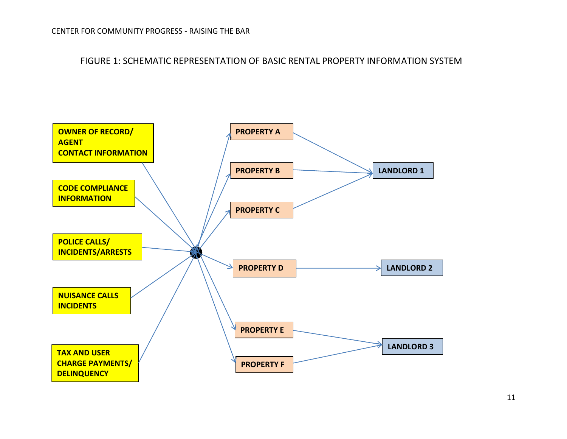FIGURE 1: SCHEMATIC REPRESENTATION OF BASIC RENTAL PROPERTY INFORMATION SYSTEM

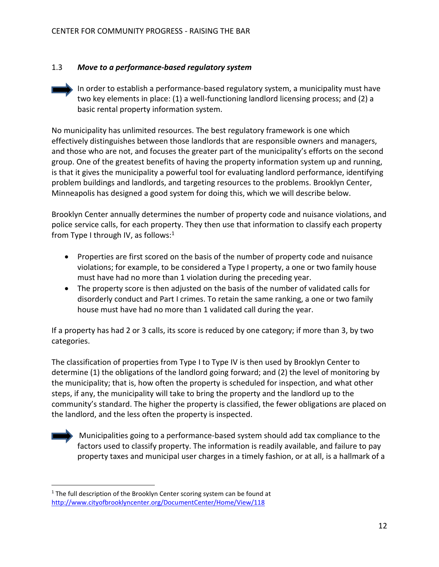#### 1.3 *Move to a performance-based regulatory system*

In order to establish a performance-based regulatory system, a municipality must have two key elements in place: (1) a well-functioning landlord licensing process; and (2) a basic rental property information system.

No municipality has unlimited resources. The best regulatory framework is one which effectively distinguishes between those landlords that are responsible owners and managers, and those who are not, and focuses the greater part of the municipality's efforts on the second group. One of the greatest benefits of having the property information system up and running, is that it gives the municipality a powerful tool for evaluating landlord performance, identifying problem buildings and landlords, and targeting resources to the problems. Brooklyn Center, Minneapolis has designed a good system for doing this, which we will describe below.

Brooklyn Center annually determines the number of property code and nuisance violations, and police service calls, for each property. They then use that information to classify each property from Type I through IV, as follows: $1$ 

- Properties are first scored on the basis of the number of property code and nuisance violations; for example, to be considered a Type I property, a one or two family house must have had no more than 1 violation during the preceding year.
- The property score is then adjusted on the basis of the number of validated calls for disorderly conduct and Part I crimes. To retain the same ranking, a one or two family house must have had no more than 1 validated call during the year.

If a property has had 2 or 3 calls, its score is reduced by one category; if more than 3, by two categories.

The classification of properties from Type I to Type IV is then used by Brooklyn Center to determine (1) the obligations of the landlord going forward; and (2) the level of monitoring by the municipality; that is, how often the property is scheduled for inspection, and what other steps, if any, the municipality will take to bring the property and the landlord up to the community's standard. The higher the property is classified, the fewer obligations are placed on the landlord, and the less often the property is inspected.



 $\overline{a}$ 

Municipalities going to a performance-based system should add tax compliance to the factors used to classify property. The information is readily available, and failure to pay property taxes and municipal user charges in a timely fashion, or at all, is a hallmark of a

<sup>&</sup>lt;sup>1</sup> The full description of the Brooklyn Center scoring system can be found at <http://www.cityofbrooklyncenter.org/DocumentCenter/Home/View/118>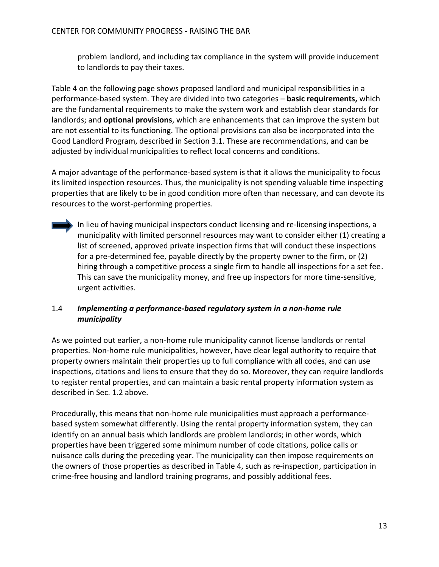problem landlord, and including tax compliance in the system will provide inducement to landlords to pay their taxes.

Table 4 on the following page shows proposed landlord and municipal responsibilities in a performance-based system. They are divided into two categories – **basic requirements,** which are the fundamental requirements to make the system work and establish clear standards for landlords; and **optional provisions**, which are enhancements that can improve the system but are not essential to its functioning. The optional provisions can also be incorporated into the Good Landlord Program, described in Section 3.1. These are recommendations, and can be adjusted by individual municipalities to reflect local concerns and conditions.

A major advantage of the performance-based system is that it allows the municipality to focus its limited inspection resources. Thus, the municipality is not spending valuable time inspecting properties that are likely to be in good condition more often than necessary, and can devote its resources to the worst-performing properties.

In lieu of having municipal inspectors conduct licensing and re-licensing inspections, a municipality with limited personnel resources may want to consider either (1) creating a list of screened, approved private inspection firms that will conduct these inspections for a pre-determined fee, payable directly by the property owner to the firm, or (2) hiring through a competitive process a single firm to handle all inspections for a set fee. This can save the municipality money, and free up inspectors for more time-sensitive, urgent activities.

#### 1.4 *Implementing a performance-based regulatory system in a non-home rule municipality*

As we pointed out earlier, a non-home rule municipality cannot license landlords or rental properties. Non-home rule municipalities, however, have clear legal authority to require that property owners maintain their properties up to full compliance with all codes, and can use inspections, citations and liens to ensure that they do so. Moreover, they can require landlords to register rental properties, and can maintain a basic rental property information system as described in Sec. 1.2 above.

Procedurally, this means that non-home rule municipalities must approach a performancebased system somewhat differently. Using the rental property information system, they can identify on an annual basis which landlords are problem landlords; in other words, which properties have been triggered some minimum number of code citations, police calls or nuisance calls during the preceding year. The municipality can then impose requirements on the owners of those properties as described in Table 4, such as re-inspection, participation in crime-free housing and landlord training programs, and possibly additional fees.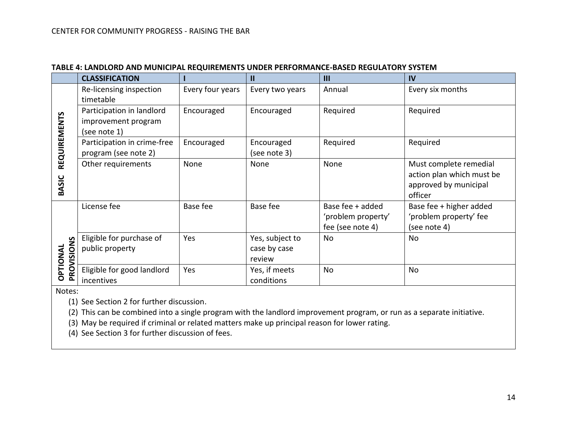|                        | <b>CLASSIFICATION</b>                                            |                  | $\mathbf{I}$                              | $\mathbf{III}$                                             | IV                                                                                      |
|------------------------|------------------------------------------------------------------|------------------|-------------------------------------------|------------------------------------------------------------|-----------------------------------------------------------------------------------------|
| <b>REQUIREMENTS</b>    | Re-licensing inspection<br>timetable                             | Every four years | Every two years                           | Annual                                                     | Every six months                                                                        |
|                        | Participation in landlord<br>improvement program<br>(see note 1) | Encouraged       | Encouraged                                | Required                                                   | Required                                                                                |
|                        | Participation in crime-free<br>program (see note 2)              | Encouraged       | Encouraged<br>(see note 3)                | Required                                                   | Required                                                                                |
| <b>BASIC</b>           | Other requirements                                               | None             | None                                      | None                                                       | Must complete remedial<br>action plan which must be<br>approved by municipal<br>officer |
| PROVISIONS<br>OPTIONAL | License fee                                                      | Base fee         | Base fee                                  | Base fee + added<br>'problem property'<br>fee (see note 4) | Base fee + higher added<br>'problem property' fee<br>(see note 4)                       |
|                        | Eligible for purchase of<br>public property                      | Yes              | Yes, subject to<br>case by case<br>review | No                                                         | No                                                                                      |
|                        | Eligible for good landlord<br>incentives                         | Yes              | Yes, if meets<br>conditions               | No                                                         | No                                                                                      |

#### **TABLE 4: LANDLORD AND MUNICIPAL REQUIREMENTS UNDER PERFORMANCE-BASED REGULATORY SYSTEM**

Notes:

(1) See Section 2 for further discussion.

(2) This can be combined into a single program with the landlord improvement program, or run as a separate initiative.

(3) May be required if criminal or related matters make up principal reason for lower rating.

(4) See Section 3 for further discussion of fees.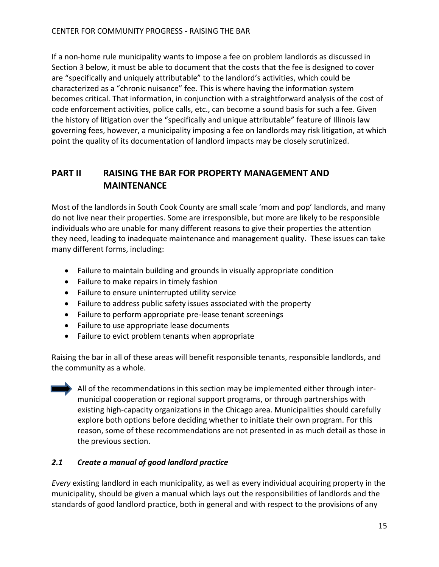If a non-home rule municipality wants to impose a fee on problem landlords as discussed in Section 3 below, it must be able to document that the costs that the fee is designed to cover are "specifically and uniquely attributable" to the landlord's activities, which could be characterized as a "chronic nuisance" fee. This is where having the information system becomes critical. That information, in conjunction with a straightforward analysis of the cost of code enforcement activities, police calls, etc., can become a sound basis for such a fee. Given the history of litigation over the "specifically and unique attributable" feature of Illinois law governing fees, however, a municipality imposing a fee on landlords may risk litigation, at which point the quality of its documentation of landlord impacts may be closely scrutinized.

## **PART II RAISING THE BAR FOR PROPERTY MANAGEMENT AND MAINTENANCE**

Most of the landlords in South Cook County are small scale 'mom and pop' landlords, and many do not live near their properties. Some are irresponsible, but more are likely to be responsible individuals who are unable for many different reasons to give their properties the attention they need, leading to inadequate maintenance and management quality. These issues can take many different forms, including:

- Failure to maintain building and grounds in visually appropriate condition
- Failure to make repairs in timely fashion
- Failure to ensure uninterrupted utility service
- Failure to address public safety issues associated with the property
- Failure to perform appropriate pre-lease tenant screenings
- Failure to use appropriate lease documents
- Failure to evict problem tenants when appropriate

Raising the bar in all of these areas will benefit responsible tenants, responsible landlords, and the community as a whole.

All of the recommendations in this section may be implemented either through intermunicipal cooperation or regional support programs, or through partnerships with existing high-capacity organizations in the Chicago area. Municipalities should carefully explore both options before deciding whether to initiate their own program. For this reason, some of these recommendations are not presented in as much detail as those in the previous section.

## *2.1 Create a manual of good landlord practice*

*Every* existing landlord in each municipality, as well as every individual acquiring property in the municipality, should be given a manual which lays out the responsibilities of landlords and the standards of good landlord practice, both in general and with respect to the provisions of any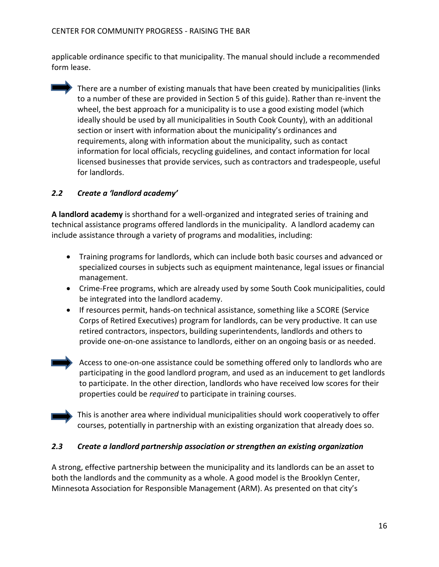applicable ordinance specific to that municipality. The manual should include a recommended form lease.

There are a number of existing manuals that have been created by municipalities (links to a number of these are provided in Section 5 of this guide). Rather than re-invent the wheel, the best approach for a municipality is to use a good existing model (which ideally should be used by all municipalities in South Cook County), with an additional section or insert with information about the municipality's ordinances and requirements, along with information about the municipality, such as contact information for local officials, recycling guidelines, and contact information for local licensed businesses that provide services, such as contractors and tradespeople, useful for landlords.

## *2.2 Create a 'landlord academy'*

**A landlord academy** is shorthand for a well-organized and integrated series of training and technical assistance programs offered landlords in the municipality. A landlord academy can include assistance through a variety of programs and modalities, including:

- Training programs for landlords, which can include both basic courses and advanced or specialized courses in subjects such as equipment maintenance, legal issues or financial management.
- Crime-Free programs, which are already used by some South Cook municipalities, could be integrated into the landlord academy.
- If resources permit, hands-on technical assistance, something like a SCORE (Service Corps of Retired Executives) program for landlords, can be very productive. It can use retired contractors, inspectors, building superintendents, landlords and others to provide one-on-one assistance to landlords, either on an ongoing basis or as needed.
- Access to one-on-one assistance could be something offered only to landlords who are participating in the good landlord program, and used as an inducement to get landlords to participate. In the other direction, landlords who have received low scores for their properties could be *required* to participate in training courses.



This is another area where individual municipalities should work cooperatively to offer courses, potentially in partnership with an existing organization that already does so.

#### *2.3 Create a landlord partnership association or strengthen an existing organization*

A strong, effective partnership between the municipality and its landlords can be an asset to both the landlords and the community as a whole. A good model is the Brooklyn Center, Minnesota Association for Responsible Management (ARM). As presented on that city's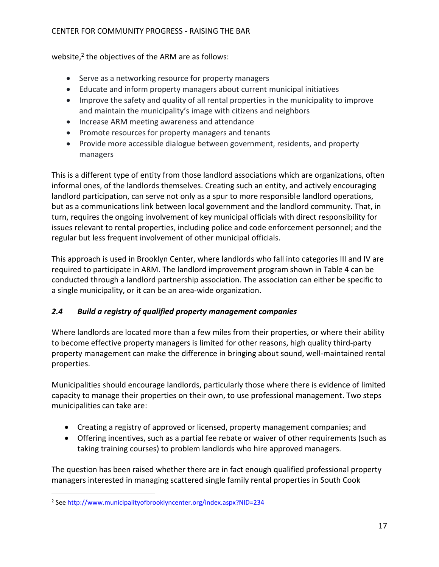#### CENTER FOR COMMUNITY PROGRESS - RAISING THE BAR

website,<sup>2</sup> the objectives of the ARM are as follows:

- Serve as a networking resource for property managers
- Educate and inform property managers about current municipal initiatives
- Improve the safety and quality of all rental properties in the municipality to improve and maintain the municipality's image with citizens and neighbors
- Increase ARM meeting awareness and attendance
- Promote resources for property managers and tenants
- Provide more accessible dialogue between government, residents, and property managers

This is a different type of entity from those landlord associations which are organizations, often informal ones, of the landlords themselves. Creating such an entity, and actively encouraging landlord participation, can serve not only as a spur to more responsible landlord operations, but as a communications link between local government and the landlord community. That, in turn, requires the ongoing involvement of key municipal officials with direct responsibility for issues relevant to rental properties, including police and code enforcement personnel; and the regular but less frequent involvement of other municipal officials.

This approach is used in Brooklyn Center, where landlords who fall into categories III and IV are required to participate in ARM. The landlord improvement program shown in Table 4 can be conducted through a landlord partnership association. The association can either be specific to a single municipality, or it can be an area-wide organization.

## *2.4 Build a registry of qualified property management companies*

Where landlords are located more than a few miles from their properties, or where their ability to become effective property managers is limited for other reasons, high quality third-party property management can make the difference in bringing about sound, well-maintained rental properties.

Municipalities should encourage landlords, particularly those where there is evidence of limited capacity to manage their properties on their own, to use professional management. Two steps municipalities can take are:

- Creating a registry of approved or licensed, property management companies; and
- Offering incentives, such as a partial fee rebate or waiver of other requirements (such as taking training courses) to problem landlords who hire approved managers.

The question has been raised whether there are in fact enough qualified professional property managers interested in managing scattered single family rental properties in South Cook

 $\overline{a}$ <sup>2</sup> See [http://www.municipalityofbrooklyncenter.org/index.aspx?NID=234](http://www.cityofbrooklyncenter.org/index.aspx?NID=234)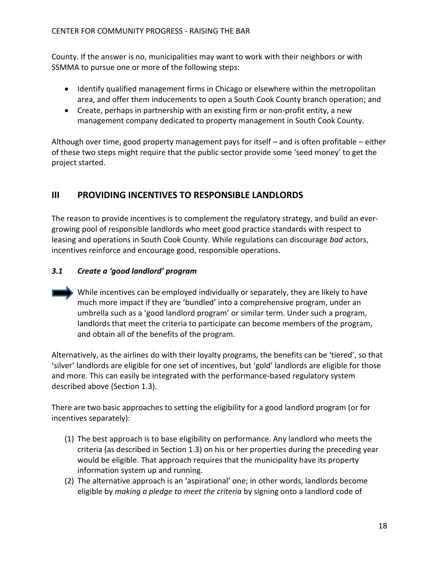County. If the answer is no, municipalities may want to work with their neighbors or with SSMMA to pursue one or more of the following steps:

- Identify qualified management firms in Chicago or elsewhere within the metropolitan area, and offer them inducements to open a South Cook County branch operation; and
- Create, perhaps in partnership with an existing firm or non-profit entity, a new management company dedicated to property management in South Cook County.

Although over time, good property management pays for itself – and is often profitable – either of these two steps might require that the public sector provide some 'seed money' to get the project started.

## **III PROVIDING INCENTIVES TO RESPONSIBLE LANDLORDS**

The reason to provide incentives is to complement the regulatory strategy, and build an evergrowing pool of responsible landlords who meet good practice standards with respect to leasing and operations in South Cook County. While regulations can discourage *bad* actors, incentives reinforce and encourage good, responsible operations.

## *3.1 Create a 'good landlord' program*

While incentives can be employed individually or separately, they are likely to have much more impact if they are 'bundled' into a comprehensive program, under an umbrella such as a 'good landlord program' or similar term. Under such a program, landlords that meet the criteria to participate can become members of the program, and obtain all of the benefits of the program.

Alternatively, as the airlines do with their loyalty programs, the benefits can be 'tiered', so that 'silver' landlords are eligible for one set of incentives, but 'gold' landlords are eligible for those and more. This can easily be integrated with the performance-based regulatory system described above (Section 1.3).

There are two basic approaches to setting the eligibility for a good landlord program (or for incentives separately):

- (1) The best approach is to base eligibility on performance. Any landlord who meets the criteria (as described in Section 1.3) on his or her properties during the preceding year would be eligible. That approach requires that the municipality have its property information system up and running.
- (2) The alternative approach is an 'aspirational' one; in other words, landlords become eligible by *making a pledge to meet the criteria* by signing onto a landlord code of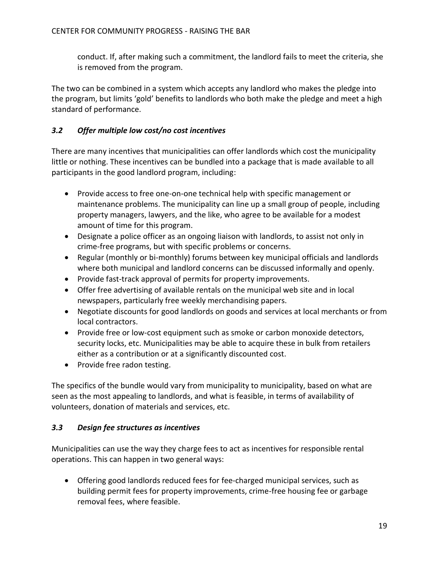conduct. If, after making such a commitment, the landlord fails to meet the criteria, she is removed from the program.

The two can be combined in a system which accepts any landlord who makes the pledge into the program, but limits 'gold' benefits to landlords who both make the pledge and meet a high standard of performance.

#### *3.2 Offer multiple low cost/no cost incentives*

There are many incentives that municipalities can offer landlords which cost the municipality little or nothing. These incentives can be bundled into a package that is made available to all participants in the good landlord program, including:

- Provide access to free one-on-one technical help with specific management or maintenance problems. The municipality can line up a small group of people, including property managers, lawyers, and the like, who agree to be available for a modest amount of time for this program.
- Designate a police officer as an ongoing liaison with landlords, to assist not only in crime-free programs, but with specific problems or concerns.
- Regular (monthly or bi-monthly) forums between key municipal officials and landlords where both municipal and landlord concerns can be discussed informally and openly.
- Provide fast-track approval of permits for property improvements.
- Offer free advertising of available rentals on the municipal web site and in local newspapers, particularly free weekly merchandising papers.
- Negotiate discounts for good landlords on goods and services at local merchants or from local contractors.
- Provide free or low-cost equipment such as smoke or carbon monoxide detectors, security locks, etc. Municipalities may be able to acquire these in bulk from retailers either as a contribution or at a significantly discounted cost.
- Provide free radon testing.

The specifics of the bundle would vary from municipality to municipality, based on what are seen as the most appealing to landlords, and what is feasible, in terms of availability of volunteers, donation of materials and services, etc.

#### *3.3 Design fee structures as incentives*

Municipalities can use the way they charge fees to act as incentives for responsible rental operations. This can happen in two general ways:

 Offering good landlords reduced fees for fee-charged municipal services, such as building permit fees for property improvements, crime-free housing fee or garbage removal fees, where feasible.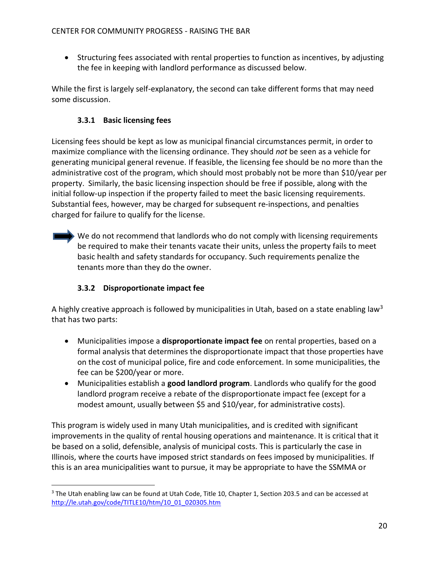Structuring fees associated with rental properties to function as incentives, by adjusting the fee in keeping with landlord performance as discussed below.

While the first is largely self-explanatory, the second can take different forms that may need some discussion.

## **3.3.1 Basic licensing fees**

Licensing fees should be kept as low as municipal financial circumstances permit, in order to maximize compliance with the licensing ordinance. They should *not* be seen as a vehicle for generating municipal general revenue. If feasible, the licensing fee should be no more than the administrative cost of the program, which should most probably not be more than \$10/year per property. Similarly, the basic licensing inspection should be free if possible, along with the initial follow-up inspection if the property failed to meet the basic licensing requirements. Substantial fees, however, may be charged for subsequent re-inspections, and penalties charged for failure to qualify for the license.

We do not recommend that landlords who do not comply with licensing requirements be required to make their tenants vacate their units, unless the property fails to meet basic health and safety standards for occupancy. Such requirements penalize the tenants more than they do the owner.

## **3.3.2 Disproportionate impact fee**

A highly creative approach is followed by municipalities in Utah, based on a state enabling law<sup>3</sup> that has two parts:

- Municipalities impose a **disproportionate impact fee** on rental properties, based on a formal analysis that determines the disproportionate impact that those properties have on the cost of municipal police, fire and code enforcement. In some municipalities, the fee can be \$200/year or more.
- Municipalities establish a **good landlord program**. Landlords who qualify for the good landlord program receive a rebate of the disproportionate impact fee (except for a modest amount, usually between \$5 and \$10/year, for administrative costs).

This program is widely used in many Utah municipalities, and is credited with significant improvements in the quality of rental housing operations and maintenance. It is critical that it be based on a solid, defensible, analysis of municipal costs. This is particularly the case in Illinois, where the courts have imposed strict standards on fees imposed by municipalities. If this is an area municipalities want to pursue, it may be appropriate to have the SSMMA or

 $\overline{a}$ <sup>3</sup> The Utah enabling law can be found at Utah Code, Title 10, Chapter 1, Section 203.5 and can be accessed at [http://le.utah.gov/code/TITLE10/htm/10\\_01\\_020305.htm](http://le.utah.gov/code/TITLE10/htm/10_01_020305.htm)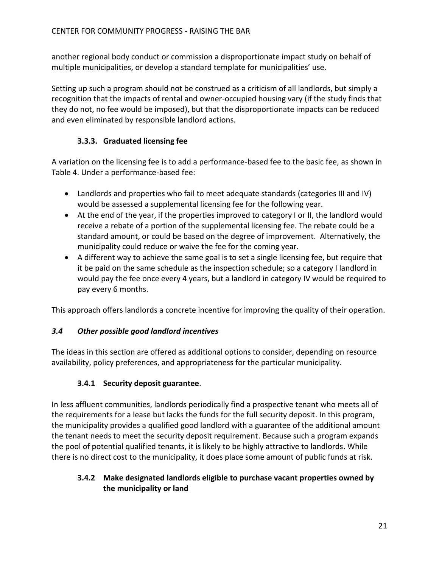another regional body conduct or commission a disproportionate impact study on behalf of multiple municipalities, or develop a standard template for municipalities' use.

Setting up such a program should not be construed as a criticism of all landlords, but simply a recognition that the impacts of rental and owner-occupied housing vary (if the study finds that they do not, no fee would be imposed), but that the disproportionate impacts can be reduced and even eliminated by responsible landlord actions.

## **3.3.3. Graduated licensing fee**

A variation on the licensing fee is to add a performance-based fee to the basic fee, as shown in Table 4. Under a performance-based fee:

- Landlords and properties who fail to meet adequate standards (categories III and IV) would be assessed a supplemental licensing fee for the following year.
- At the end of the year, if the properties improved to category I or II, the landlord would receive a rebate of a portion of the supplemental licensing fee. The rebate could be a standard amount, or could be based on the degree of improvement. Alternatively, the municipality could reduce or waive the fee for the coming year.
- A different way to achieve the same goal is to set a single licensing fee, but require that it be paid on the same schedule as the inspection schedule; so a category I landlord in would pay the fee once every 4 years, but a landlord in category IV would be required to pay every 6 months.

This approach offers landlords a concrete incentive for improving the quality of their operation.

## *3.4 Other possible good landlord incentives*

The ideas in this section are offered as additional options to consider, depending on resource availability, policy preferences, and appropriateness for the particular municipality.

## **3.4.1 Security deposit guarantee**.

In less affluent communities, landlords periodically find a prospective tenant who meets all of the requirements for a lease but lacks the funds for the full security deposit. In this program, the municipality provides a qualified good landlord with a guarantee of the additional amount the tenant needs to meet the security deposit requirement. Because such a program expands the pool of potential qualified tenants, it is likely to be highly attractive to landlords. While there is no direct cost to the municipality, it does place some amount of public funds at risk.

## **3.4.2 Make designated landlords eligible to purchase vacant properties owned by the municipality or land**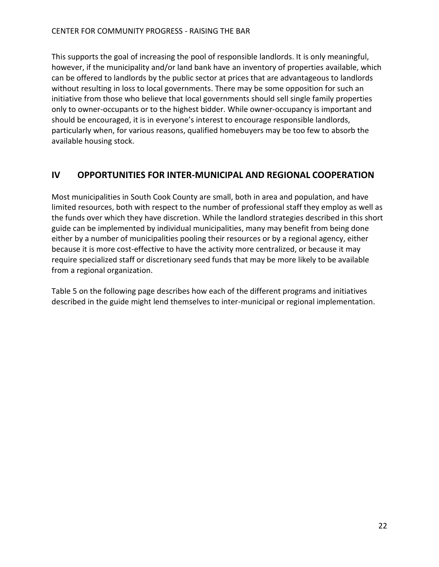This supports the goal of increasing the pool of responsible landlords. It is only meaningful, however, if the municipality and/or land bank have an inventory of properties available, which can be offered to landlords by the public sector at prices that are advantageous to landlords without resulting in loss to local governments. There may be some opposition for such an initiative from those who believe that local governments should sell single family properties only to owner-occupants or to the highest bidder. While owner-occupancy is important and should be encouraged, it is in everyone's interest to encourage responsible landlords, particularly when, for various reasons, qualified homebuyers may be too few to absorb the available housing stock.

## **IV OPPORTUNITIES FOR INTER-MUNICIPAL AND REGIONAL COOPERATION**

Most municipalities in South Cook County are small, both in area and population, and have limited resources, both with respect to the number of professional staff they employ as well as the funds over which they have discretion. While the landlord strategies described in this short guide can be implemented by individual municipalities, many may benefit from being done either by a number of municipalities pooling their resources or by a regional agency, either because it is more cost-effective to have the activity more centralized, or because it may require specialized staff or discretionary seed funds that may be more likely to be available from a regional organization.

Table 5 on the following page describes how each of the different programs and initiatives described in the guide might lend themselves to inter-municipal or regional implementation.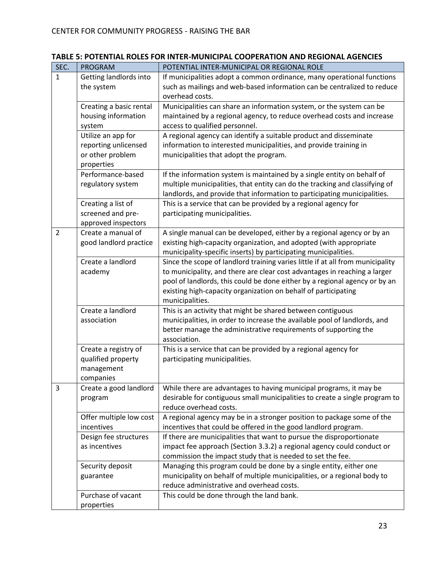| SEC.        | <b>PROGRAM</b>          | POTENTIAL INTER-MUNICIPAL OR REGIONAL ROLE                                     |
|-------------|-------------------------|--------------------------------------------------------------------------------|
| 1           | Getting landlords into  | If municipalities adopt a common ordinance, many operational functions         |
|             | the system              | such as mailings and web-based information can be centralized to reduce        |
|             |                         | overhead costs.                                                                |
|             | Creating a basic rental | Municipalities can share an information system, or the system can be           |
|             | housing information     | maintained by a regional agency, to reduce overhead costs and increase         |
|             | system                  | access to qualified personnel.                                                 |
|             | Utilize an app for      | A regional agency can identify a suitable product and disseminate              |
|             | reporting unlicensed    | information to interested municipalities, and provide training in              |
|             | or other problem        | municipalities that adopt the program.                                         |
|             | properties              |                                                                                |
|             | Performance-based       | If the information system is maintained by a single entity on behalf of        |
|             | regulatory system       | multiple municipalities, that entity can do the tracking and classifying of    |
|             |                         | landlords, and provide that information to participating municipalities.       |
|             | Creating a list of      | This is a service that can be provided by a regional agency for                |
|             | screened and pre-       | participating municipalities.                                                  |
|             | approved inspectors     |                                                                                |
| 2           | Create a manual of      | A single manual can be developed, either by a regional agency or by an         |
|             | good landlord practice  | existing high-capacity organization, and adopted (with appropriate             |
|             |                         | municipality-specific inserts) by participating municipalities.                |
|             | Create a landlord       | Since the scope of landlord training varies little if at all from municipality |
|             | academy                 | to municipality, and there are clear cost advantages in reaching a larger      |
|             |                         | pool of landlords, this could be done either by a regional agency or by an     |
|             |                         | existing high-capacity organization on behalf of participating                 |
|             |                         | municipalities.                                                                |
|             | Create a landlord       | This is an activity that might be shared between contiguous                    |
|             | association             | municipalities, in order to increase the available pool of landlords, and      |
|             |                         | better manage the administrative requirements of supporting the                |
|             |                         | association.                                                                   |
|             | Create a registry of    | This is a service that can be provided by a regional agency for                |
|             | qualified property      | participating municipalities.                                                  |
|             | management              |                                                                                |
|             | companies               |                                                                                |
| $\mathsf 3$ | Create a good landlord  | While there are advantages to having municipal programs, it may be             |
|             | program                 | desirable for contiguous small municipalities to create a single program to    |
|             |                         | reduce overhead costs.                                                         |
|             | Offer multiple low cost | A regional agency may be in a stronger position to package some of the         |
|             | incentives              | incentives that could be offered in the good landlord program.                 |
|             | Design fee structures   | If there are municipalities that want to pursue the disproportionate           |
|             | as incentives           | impact fee approach (Section 3.3.2) a regional agency could conduct or         |
|             |                         | commission the impact study that is needed to set the fee.                     |
|             | Security deposit        | Managing this program could be done by a single entity, either one             |
|             | guarantee               | municipality on behalf of multiple municipalities, or a regional body to       |
|             |                         | reduce administrative and overhead costs.                                      |
|             | Purchase of vacant      | This could be done through the land bank.                                      |
|             | properties              |                                                                                |

## **TABLE 5: POTENTIAL ROLES FOR INTER-MUNICIPAL COOPERATION AND REGIONAL AGENCIES**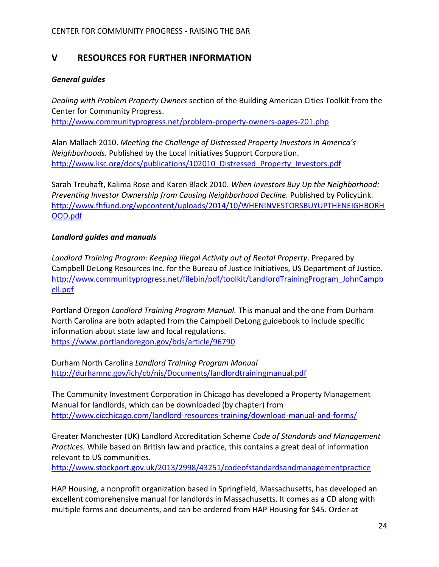## **V RESOURCES FOR FURTHER INFORMATION**

#### *General guides*

*Dealing with Problem Property Owners* section of the Building American Cities Toolkit from the Center for Community Progress.

<http://www.communityprogress.net/problem-property-owners-pages-201.php>

Alan Mallach 2010. *Meeting the Challenge of Distressed Property Investors in America's Neighborhoods.* Published by the Local Initiatives Support Corporation. [http://www.lisc.org/docs/publications/102010\\_Distressed\\_Property\\_Investors.pdf](http://www.lisc.org/docs/publications/102010_Distressed_Property_Investors.pdf)

Sarah Treuhaft, Kalima Rose and Karen Black 2010. *When Investors Buy Up the Neighborhood: Preventing Investor Ownership from Causing Neighborhood Decline.* Published by PolicyLink. [http://www.fhfund.org/wpcontent/uploads/2014/10/WHENINVESTORSBUYUPTHENEIGHBORH](http://www.fhfund.org/wpcontent/uploads/2014/10/WHENINVESTORSBUYUPTHENEIGHBORHOOD.pdf) [OOD.pdf](http://www.fhfund.org/wpcontent/uploads/2014/10/WHENINVESTORSBUYUPTHENEIGHBORHOOD.pdf)

#### *Landlord guides and manuals*

*Landlord Training Program: Keeping Illegal Activity out of Rental Property*. Prepared by Campbell DeLong Resources Inc. for the Bureau of Justice Initiatives, US Department of Justice. [http://www.communityprogress.net/filebin/pdf/toolkit/LandlordTrainingProgram\\_JohnCampb](http://www.communityprogress.net/filebin/pdf/toolkit/LandlordTrainingProgram_JohnCampbell.pdf) [ell.pdf](http://www.communityprogress.net/filebin/pdf/toolkit/LandlordTrainingProgram_JohnCampbell.pdf)

Portland Oregon *Landlord Training Program Manual.* This manual and the one from Durham North Carolina are both adapted from the Campbell DeLong guidebook to include specific information about state law and local regulations. <https://www.portlandoregon.gov/bds/article/96790>

Durham North Carolina *Landlord Training Program Manual* <http://durhamnc.gov/ich/cb/nis/Documents/landlordtrainingmanual.pdf>

The Community Investment Corporation in Chicago has developed a Property Management Manual for landlords, which can be downloaded (by chapter) from <http://www.cicchicago.com/landlord-resources-training/download-manual-and-forms/>

Greater Manchester (UK) Landlord Accreditation Scheme *Code of Standards and Management Practices.* While based on British law and practice, this contains a great deal of information relevant to US communities.

<http://www.stockport.gov.uk/2013/2998/43251/codeofstandardsandmanagementpractice>

HAP Housing, a nonprofit organization based in Springfield, Massachusetts, has developed an excellent comprehensive manual for landlords in Massachusetts. It comes as a CD along with multiple forms and documents, and can be ordered from HAP Housing for \$45. Order at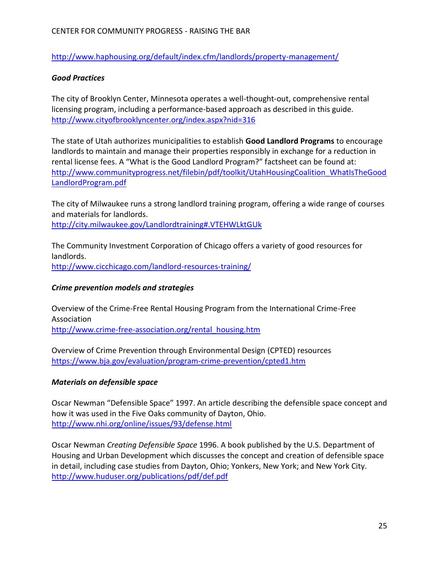<http://www.haphousing.org/default/index.cfm/landlords/property-management/>

#### *Good Practices*

The city of Brooklyn Center, Minnesota operates a well-thought-out, comprehensive rental licensing program, including a performance-based approach as described in this guide. <http://www.cityofbrooklyncenter.org/index.aspx?nid=316>

The state of Utah authorizes municipalities to establish **Good Landlord Programs** to encourage landlords to maintain and manage their properties responsibly in exchange for a reduction in rental license fees. A "What is the Good Landlord Program?" factsheet can be found at: [http://www.communityprogress.net/filebin/pdf/toolkit/UtahHousingCoalition\\_WhatIsTheGood](http://www.communityprogress.net/filebin/pdf/toolkit/UtahHousingCoalition_WhatIsTheGoodLandlordProgram.pdf) [LandlordProgram.pdf](http://www.communityprogress.net/filebin/pdf/toolkit/UtahHousingCoalition_WhatIsTheGoodLandlordProgram.pdf)

The city of Milwaukee runs a strong landlord training program, offering a wide range of courses and materials for landlords. <http://city.milwaukee.gov/Landlordtraining#.VTEHWLktGUk>

The Community Investment Corporation of Chicago offers a variety of good resources for landlords. <http://www.cicchicago.com/landlord-resources-training/>

#### *Crime prevention models and strategies*

Overview of the Crime-Free Rental Housing Program from the International Crime-Free Association [http://www.crime-free-association.org/rental\\_housing.htm](http://www.crime-free-association.org/rental_housing.htm)

Overview of Crime Prevention through Environmental Design (CPTED) resources <https://www.bja.gov/evaluation/program-crime-prevention/cpted1.htm>

#### *Materials on defensible space*

Oscar Newman "Defensible Space" 1997. An article describing the defensible space concept and how it was used in the Five Oaks community of Dayton, Ohio. <http://www.nhi.org/online/issues/93/defense.html>

Oscar Newman *Creating Defensible Space* 1996. A book published by the U.S. Department of Housing and Urban Development which discusses the concept and creation of defensible space in detail, including case studies from Dayton, Ohio; Yonkers, New York; and New York City. <http://www.huduser.org/publications/pdf/def.pdf>